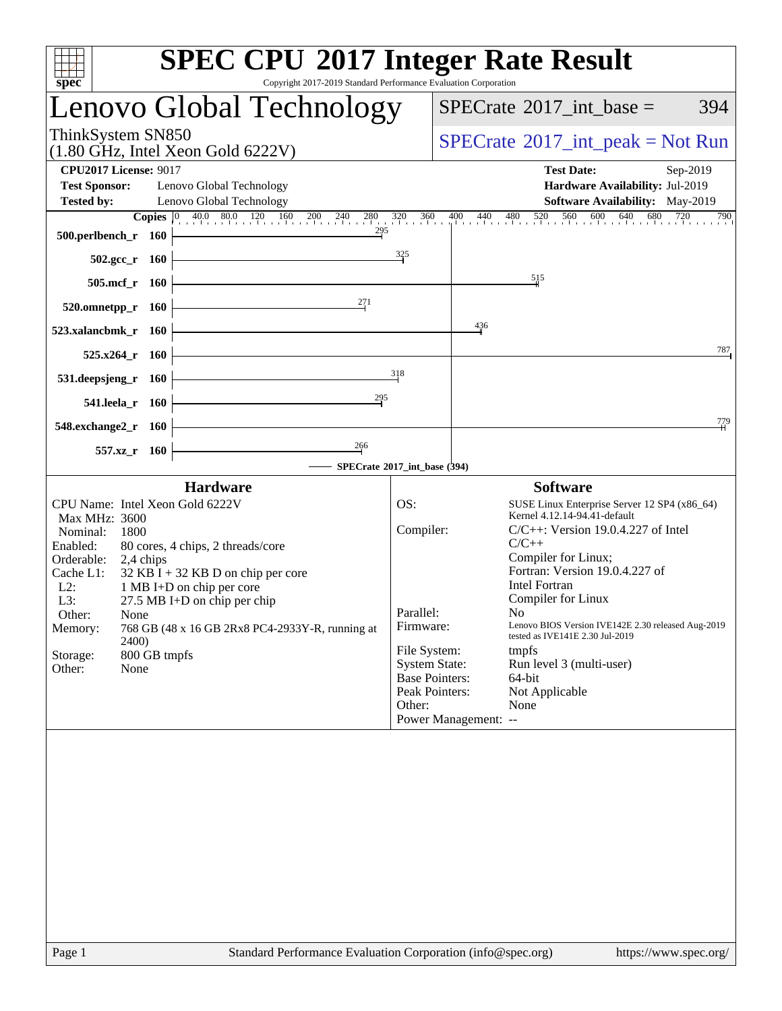| spec <sup>®</sup>                                                                                                                                                                                                                                                                                                                                                                                                          | <b>SPEC CPU®2017 Integer Rate Result</b><br>Copyright 2017-2019 Standard Performance Evaluation Corporation                                                                                                                                                                                                                                                                                                                                                                                                                                                                        |
|----------------------------------------------------------------------------------------------------------------------------------------------------------------------------------------------------------------------------------------------------------------------------------------------------------------------------------------------------------------------------------------------------------------------------|------------------------------------------------------------------------------------------------------------------------------------------------------------------------------------------------------------------------------------------------------------------------------------------------------------------------------------------------------------------------------------------------------------------------------------------------------------------------------------------------------------------------------------------------------------------------------------|
| Lenovo Global Technology                                                                                                                                                                                                                                                                                                                                                                                                   | $SPECrate^{\circledast}2017\_int\_base =$<br>394                                                                                                                                                                                                                                                                                                                                                                                                                                                                                                                                   |
| ThinkSystem SN850<br>$(1.80 \text{ GHz}, \text{Intel Xeon Gold } 6222 \text{V})$                                                                                                                                                                                                                                                                                                                                           | $SPECrate^{\circledast}2017\_int\_peak = Not Run$                                                                                                                                                                                                                                                                                                                                                                                                                                                                                                                                  |
| <b>CPU2017 License: 9017</b><br><b>Test Sponsor:</b><br>Lenovo Global Technology<br>Lenovo Global Technology<br><b>Tested by:</b>                                                                                                                                                                                                                                                                                          | <b>Test Date:</b><br>Sep-2019<br>Hardware Availability: Jul-2019<br><b>Software Availability:</b> May-2019                                                                                                                                                                                                                                                                                                                                                                                                                                                                         |
| <b>Copies</b> 0 40.0 80.0 120 160 200 240 280 320 360<br>295<br>500.perlbench_r 160                                                                                                                                                                                                                                                                                                                                        | 480 520 560 600 640 680<br>720<br>790<br>$400$ $440$<br>$\frac{325}{5}$                                                                                                                                                                                                                                                                                                                                                                                                                                                                                                            |
| $502.\text{gcc r}$ 160<br>505.mcf_r 160                                                                                                                                                                                                                                                                                                                                                                                    | $\frac{515}{5}$                                                                                                                                                                                                                                                                                                                                                                                                                                                                                                                                                                    |
| 271<br>520.omnetpp_r 160<br>523.xalancbmk_r 160                                                                                                                                                                                                                                                                                                                                                                            | 436                                                                                                                                                                                                                                                                                                                                                                                                                                                                                                                                                                                |
| 525.x264_r 160<br>531.deepsjeng_r 160                                                                                                                                                                                                                                                                                                                                                                                      | 787<br>318                                                                                                                                                                                                                                                                                                                                                                                                                                                                                                                                                                         |
| 295<br>541.leela_r 160<br>548.exchange2_r 160                                                                                                                                                                                                                                                                                                                                                                              | 779                                                                                                                                                                                                                                                                                                                                                                                                                                                                                                                                                                                |
| $\frac{266}{1}$<br>557.xz_r 160                                                                                                                                                                                                                                                                                                                                                                                            | SPECrate®2017_int_base (394)                                                                                                                                                                                                                                                                                                                                                                                                                                                                                                                                                       |
| <b>Hardware</b>                                                                                                                                                                                                                                                                                                                                                                                                            | <b>Software</b>                                                                                                                                                                                                                                                                                                                                                                                                                                                                                                                                                                    |
| CPU Name: Intel Xeon Gold 6222V<br>Max MHz: 3600<br>Nominal:<br>1800<br>Enabled:<br>80 cores, 4 chips, 2 threads/core<br>Orderable:<br>2,4 chips<br>Cache L1:<br>$32$ KB I + 32 KB D on chip per core<br>$L2$ :<br>1 MB I+D on chip per core<br>L3:<br>27.5 MB I+D on chip per chip<br>Other:<br>None<br>Memory:<br>768 GB (48 x 16 GB 2Rx8 PC4-2933Y-R, running at<br>2400)<br>800 GB tmpfs<br>Storage:<br>Other:<br>None | SUSE Linux Enterprise Server 12 SP4 (x86_64)<br>OS:<br>Kernel 4.12.14-94.41-default<br>Compiler:<br>$C/C++$ : Version 19.0.4.227 of Intel<br>$C/C++$<br>Compiler for Linux;<br>Fortran: Version 19.0.4.227 of<br><b>Intel Fortran</b><br>Compiler for Linux<br>Parallel:<br>No<br>Lenovo BIOS Version IVE142E 2.30 released Aug-2019<br>Firmware:<br>tested as IVE141E 2.30 Jul-2019<br>File System:<br>tmpfs<br><b>System State:</b><br>Run level 3 (multi-user)<br><b>Base Pointers:</b><br>64-bit<br>Peak Pointers:<br>Not Applicable<br>None<br>Other:<br>Power Management: -- |
|                                                                                                                                                                                                                                                                                                                                                                                                                            |                                                                                                                                                                                                                                                                                                                                                                                                                                                                                                                                                                                    |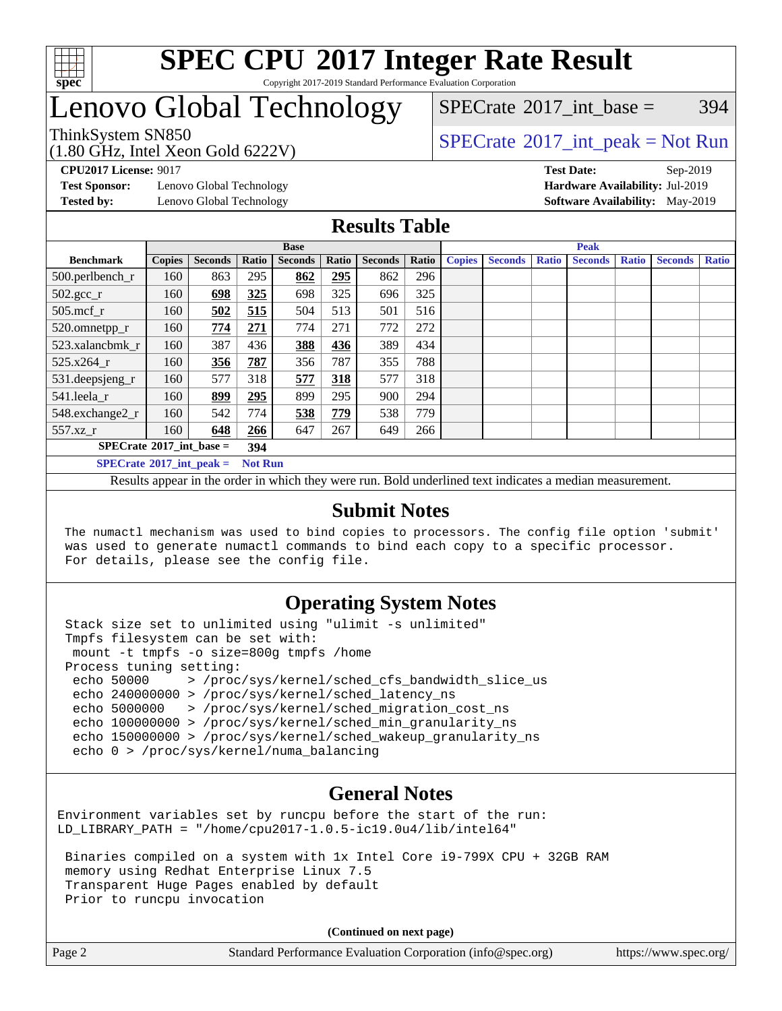

#### **[SPEC CPU](http://www.spec.org/auto/cpu2017/Docs/result-fields.html#SPECCPU2017IntegerRateResult)[2017 Integer Rate Result](http://www.spec.org/auto/cpu2017/Docs/result-fields.html#SPECCPU2017IntegerRateResult)** Copyright 2017-2019 Standard Performance Evaluation Corporation

## Lenovo Global Technology

[SPECrate](http://www.spec.org/auto/cpu2017/Docs/result-fields.html#SPECrate2017intbase)®2017 int\_base =  $394$ 

(1.80 GHz, Intel Xeon Gold 6222V) ThinkSystem SN850<br>  $\begin{array}{c}\n\text{SPECTI} \text{Ent} & \text{SPECTI} \text{S/N} \\
\text{SPECTI} \text{Ent} & \text{peak} = \text{Not Run} \\
\end{array}$ 

**[Test Sponsor:](http://www.spec.org/auto/cpu2017/Docs/result-fields.html#TestSponsor)** Lenovo Global Technology **[Hardware Availability:](http://www.spec.org/auto/cpu2017/Docs/result-fields.html#HardwareAvailability)** Jul-2019

**[CPU2017 License:](http://www.spec.org/auto/cpu2017/Docs/result-fields.html#CPU2017License)** 9017 **[Test Date:](http://www.spec.org/auto/cpu2017/Docs/result-fields.html#TestDate)** Sep-2019

**[Tested by:](http://www.spec.org/auto/cpu2017/Docs/result-fields.html#Testedby)** Lenovo Global Technology **[Software Availability:](http://www.spec.org/auto/cpu2017/Docs/result-fields.html#SoftwareAvailability)** May-2019

#### **[Results Table](http://www.spec.org/auto/cpu2017/Docs/result-fields.html#ResultsTable)**

|                                                   |                                                           |                |       | <b>Base</b>    |            |                | <b>Peak</b> |               |                |              |                |              |                |              |
|---------------------------------------------------|-----------------------------------------------------------|----------------|-------|----------------|------------|----------------|-------------|---------------|----------------|--------------|----------------|--------------|----------------|--------------|
| <b>Benchmark</b>                                  | <b>Copies</b>                                             | <b>Seconds</b> | Ratio | <b>Seconds</b> | Ratio      | <b>Seconds</b> | Ratio       | <b>Copies</b> | <b>Seconds</b> | <b>Ratio</b> | <b>Seconds</b> | <b>Ratio</b> | <b>Seconds</b> | <b>Ratio</b> |
| 500.perlbench_r                                   | 160                                                       | 863            | 295   | 862            | 295<br>862 |                | 296         |               |                |              |                |              |                |              |
| $502.\text{gcc}$ _r                               | 160                                                       | 698            | 325   | 698            | 325        | 696            | 325         |               |                |              |                |              |                |              |
| $505$ .mcf r                                      | 160                                                       | 502            | 515   | 504            | 513        | 501            | 516         |               |                |              |                |              |                |              |
| 520.omnetpp_r                                     | 160                                                       | 774            | 271   | 774            | 271        | 772            | 272         |               |                |              |                |              |                |              |
| 523.xalancbmk r                                   | 160                                                       | 387            | 436   | 388            | 436        | 389            | 434         |               |                |              |                |              |                |              |
| 525.x264 r                                        | 160                                                       | 356            | 787   | 356            | 787        | 355            | 788         |               |                |              |                |              |                |              |
| 531.deepsjeng_r                                   | 160                                                       | 577            | 318   | 577            | 318        | 577            | 318         |               |                |              |                |              |                |              |
| 541.leela r                                       | 160                                                       | 899            | 295   | 899            | 295        | 900            | 294         |               |                |              |                |              |                |              |
| 548.exchange2_r                                   | 160                                                       | 542            | 774   | 538            | 779        | 538            | 779         |               |                |              |                |              |                |              |
| 557.xz r                                          | 160<br>648<br>647<br>267<br>266<br>649                    |                |       |                | 266        |                |             |               |                |              |                |              |                |              |
| $SPECrate^{\circ}2017$ int base =<br>394          |                                                           |                |       |                |            |                |             |               |                |              |                |              |                |              |
|                                                   | $SPECrate$ <sup>®</sup> 2017_int_peak =<br><b>Not Run</b> |                |       |                |            |                |             |               |                |              |                |              |                |              |
| $\sim$ $\sim$<br>$\sim$ $\sim$<br>.<br>- - -<br>. |                                                           |                |       |                |            |                |             |               |                |              |                |              |                |              |

Results appear in the [order in which they were run](http://www.spec.org/auto/cpu2017/Docs/result-fields.html#RunOrder). Bold underlined text [indicates a median measurement](http://www.spec.org/auto/cpu2017/Docs/result-fields.html#Median).

#### **[Submit Notes](http://www.spec.org/auto/cpu2017/Docs/result-fields.html#SubmitNotes)**

 The numactl mechanism was used to bind copies to processors. The config file option 'submit' was used to generate numactl commands to bind each copy to a specific processor. For details, please see the config file.

### **[Operating System Notes](http://www.spec.org/auto/cpu2017/Docs/result-fields.html#OperatingSystemNotes)**

 Stack size set to unlimited using "ulimit -s unlimited" Tmpfs filesystem can be set with: mount -t tmpfs -o size=800g tmpfs /home Process tuning setting: echo 50000 > /proc/sys/kernel/sched\_cfs\_bandwidth slice us echo 240000000 > /proc/sys/kernel/sched\_latency\_ns echo 5000000 > /proc/sys/kernel/sched\_migration\_cost\_ns echo 100000000 > /proc/sys/kernel/sched\_min\_granularity\_ns echo 150000000 > /proc/sys/kernel/sched\_wakeup\_granularity\_ns echo 0 > /proc/sys/kernel/numa\_balancing

### **[General Notes](http://www.spec.org/auto/cpu2017/Docs/result-fields.html#GeneralNotes)**

Environment variables set by runcpu before the start of the run: LD\_LIBRARY\_PATH = "/home/cpu2017-1.0.5-ic19.0u4/lib/intel64"

 Binaries compiled on a system with 1x Intel Core i9-799X CPU + 32GB RAM memory using Redhat Enterprise Linux 7.5 Transparent Huge Pages enabled by default Prior to runcpu invocation

**(Continued on next page)**

| Page 2 | Standard Performance Evaluation Corporation (info@spec.org) | https://www.spec.org/ |
|--------|-------------------------------------------------------------|-----------------------|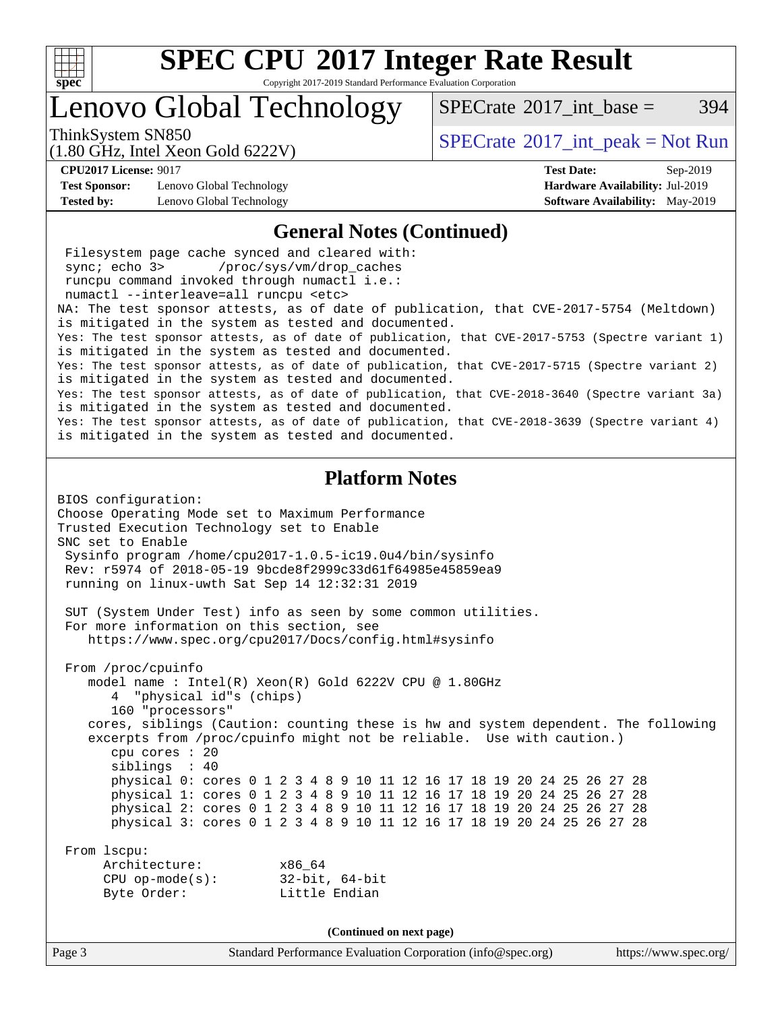

Copyright 2017-2019 Standard Performance Evaluation Corporation

## Lenovo Global Technology

ThinkSystem SN850<br>  $SPECrate^{\circ}2017$  $SPECrate^{\circ}2017$ \_int\_peak = Not Run [SPECrate](http://www.spec.org/auto/cpu2017/Docs/result-fields.html#SPECrate2017intbase)<sup>®</sup>2017 int base = 394

(1.80 GHz, Intel Xeon Gold 6222V)

**[CPU2017 License:](http://www.spec.org/auto/cpu2017/Docs/result-fields.html#CPU2017License)** 9017 **[Test Date:](http://www.spec.org/auto/cpu2017/Docs/result-fields.html#TestDate)** Sep-2019

**[Test Sponsor:](http://www.spec.org/auto/cpu2017/Docs/result-fields.html#TestSponsor)** Lenovo Global Technology **[Hardware Availability:](http://www.spec.org/auto/cpu2017/Docs/result-fields.html#HardwareAvailability)** Jul-2019 **[Tested by:](http://www.spec.org/auto/cpu2017/Docs/result-fields.html#Testedby)** Lenovo Global Technology **[Software Availability:](http://www.spec.org/auto/cpu2017/Docs/result-fields.html#SoftwareAvailability)** May-2019

Page 3 Standard Performance Evaluation Corporation [\(info@spec.org\)](mailto:info@spec.org) <https://www.spec.org/> **[General Notes \(Continued\)](http://www.spec.org/auto/cpu2017/Docs/result-fields.html#GeneralNotes)** Filesystem page cache synced and cleared with: sync; echo 3> /proc/sys/vm/drop\_caches runcpu command invoked through numactl i.e.: numactl --interleave=all runcpu <etc> NA: The test sponsor attests, as of date of publication, that CVE-2017-5754 (Meltdown) is mitigated in the system as tested and documented. Yes: The test sponsor attests, as of date of publication, that CVE-2017-5753 (Spectre variant 1) is mitigated in the system as tested and documented. Yes: The test sponsor attests, as of date of publication, that CVE-2017-5715 (Spectre variant 2) is mitigated in the system as tested and documented. Yes: The test sponsor attests, as of date of publication, that CVE-2018-3640 (Spectre variant 3a) is mitigated in the system as tested and documented. Yes: The test sponsor attests, as of date of publication, that CVE-2018-3639 (Spectre variant 4) is mitigated in the system as tested and documented. **[Platform Notes](http://www.spec.org/auto/cpu2017/Docs/result-fields.html#PlatformNotes)** BIOS configuration: Choose Operating Mode set to Maximum Performance Trusted Execution Technology set to Enable SNC set to Enable Sysinfo program /home/cpu2017-1.0.5-ic19.0u4/bin/sysinfo Rev: r5974 of 2018-05-19 9bcde8f2999c33d61f64985e45859ea9 running on linux-uwth Sat Sep 14 12:32:31 2019 SUT (System Under Test) info as seen by some common utilities. For more information on this section, see <https://www.spec.org/cpu2017/Docs/config.html#sysinfo> From /proc/cpuinfo model name : Intel(R) Xeon(R) Gold 6222V CPU @ 1.80GHz 4 "physical id"s (chips) 160 "processors" cores, siblings (Caution: counting these is hw and system dependent. The following excerpts from /proc/cpuinfo might not be reliable. Use with caution.) cpu cores : 20 siblings : 40 physical 0: cores 0 1 2 3 4 8 9 10 11 12 16 17 18 19 20 24 25 26 27 28 physical 1: cores 0 1 2 3 4 8 9 10 11 12 16 17 18 19 20 24 25 26 27 28 physical 2: cores 0 1 2 3 4 8 9 10 11 12 16 17 18 19 20 24 25 26 27 28 physical 3: cores 0 1 2 3 4 8 9 10 11 12 16 17 18 19 20 24 25 26 27 28 From lscpu: Architecture: x86\_64 CPU op-mode(s): 32-bit, 64-bit Byte Order: Little Endian **(Continued on next page)**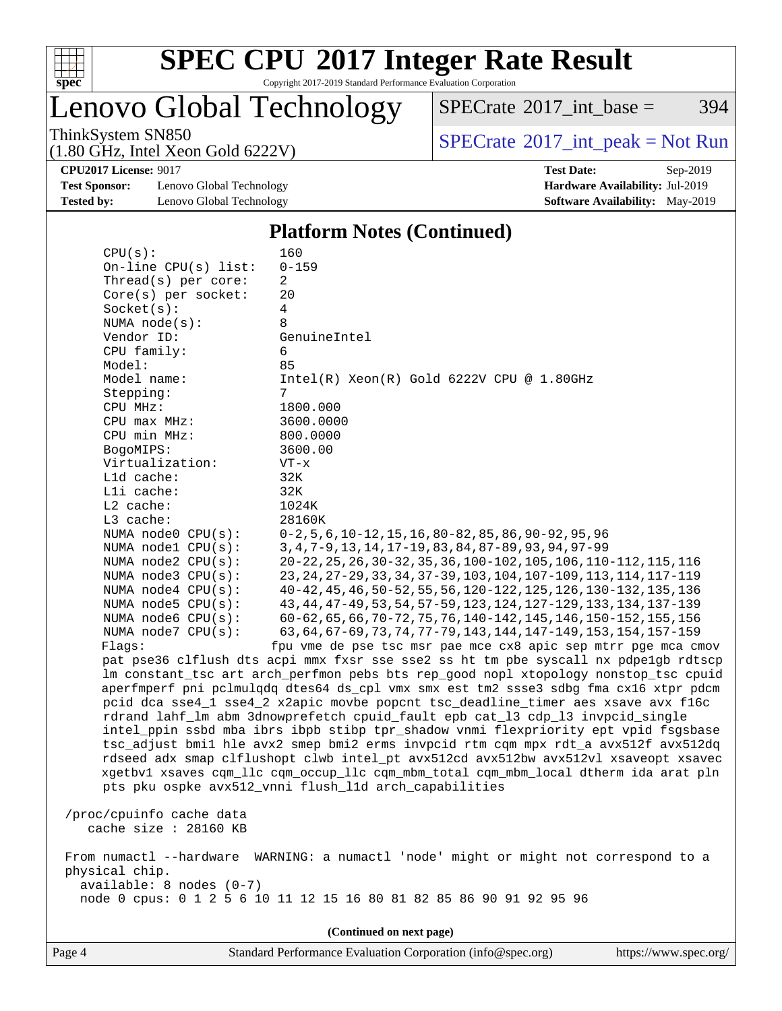

Copyright 2017-2019 Standard Performance Evaluation Corporation

Lenovo Global Technology

 $SPECTate$ <sup>®</sup>[2017\\_int\\_base =](http://www.spec.org/auto/cpu2017/Docs/result-fields.html#SPECrate2017intbase) 394

(1.80 GHz, Intel Xeon Gold 6222V)

ThinkSystem SN850<br>(1.80 GHz, Intel Year Gald 6222V) [SPECrate](http://www.spec.org/auto/cpu2017/Docs/result-fields.html#SPECrate2017intpeak)®[2017\\_int\\_peak = N](http://www.spec.org/auto/cpu2017/Docs/result-fields.html#SPECrate2017intpeak)ot Run

**[Test Sponsor:](http://www.spec.org/auto/cpu2017/Docs/result-fields.html#TestSponsor)** Lenovo Global Technology **[Hardware Availability:](http://www.spec.org/auto/cpu2017/Docs/result-fields.html#HardwareAvailability)** Jul-2019 **[Tested by:](http://www.spec.org/auto/cpu2017/Docs/result-fields.html#Testedby)** Lenovo Global Technology **[Software Availability:](http://www.spec.org/auto/cpu2017/Docs/result-fields.html#SoftwareAvailability)** May-2019

**[CPU2017 License:](http://www.spec.org/auto/cpu2017/Docs/result-fields.html#CPU2017License)** 9017 **[Test Date:](http://www.spec.org/auto/cpu2017/Docs/result-fields.html#TestDate)** Sep-2019

#### **[Platform Notes \(Continued\)](http://www.spec.org/auto/cpu2017/Docs/result-fields.html#PlatformNotes)**

| CPU(s):                         | 160                                                                                  |
|---------------------------------|--------------------------------------------------------------------------------------|
| On-line CPU(s) list:            | $0 - 159$                                                                            |
| Thread(s) per core:             | 2                                                                                    |
| Core(s) per socket:             | 20                                                                                   |
| Socket(s):                      | 4                                                                                    |
| NUMA node(s):                   | 8                                                                                    |
| Vendor ID:                      | GenuineIntel                                                                         |
| CPU family:                     | 6                                                                                    |
| Model:                          | 85                                                                                   |
| Model name:                     | $Intel(R) Xeon(R) Gold 6222V CPU @ 1.80GHz$                                          |
| Stepping:                       | 7                                                                                    |
| CPU MHz:                        | 1800.000                                                                             |
| CPU max MHz:                    | 3600.0000                                                                            |
| CPU min MHz:                    | 800.0000                                                                             |
| BogoMIPS:                       | 3600.00                                                                              |
| Virtualization:                 | $VT - x$                                                                             |
| L1d cache:                      | 32K                                                                                  |
| Lli cache:                      | 32K                                                                                  |
| $L2$ cache:                     | 1024K                                                                                |
| L3 cache:<br>NUMA node0 CPU(s): | 28160K<br>$0-2, 5, 6, 10-12, 15, 16, 80-82, 85, 86, 90-92, 95, 96$                   |
| NUMA nodel CPU(s):              | 3, 4, 7-9, 13, 14, 17-19, 83, 84, 87-89, 93, 94, 97-99                               |
| NUMA node2 CPU(s):              | 20-22, 25, 26, 30-32, 35, 36, 100-102, 105, 106, 110-112, 115, 116                   |
| NUMA node3 CPU(s):              | 23, 24, 27-29, 33, 34, 37-39, 103, 104, 107-109, 113, 114, 117-119                   |
| NUMA node4 CPU(s):              | 40-42, 45, 46, 50-52, 55, 56, 120-122, 125, 126, 130-132, 135, 136                   |
| NUMA $node5$ $CPU(s)$ :         | 43, 44, 47-49, 53, 54, 57-59, 123, 124, 127-129, 133, 134, 137-139                   |
| NUMA node6 CPU(s):              | 60-62, 65, 66, 70-72, 75, 76, 140-142, 145, 146, 150-152, 155, 156                   |
| NUMA node7 CPU(s):              | 63, 64, 67-69, 73, 74, 77-79, 143, 144, 147-149, 153, 154, 157-159                   |
| Flags:                          | fpu vme de pse tsc msr pae mce cx8 apic sep mtrr pge mca cmov                        |
|                                 | pat pse36 clflush dts acpi mmx fxsr sse sse2 ss ht tm pbe syscall nx pdpelgb rdtscp  |
|                                 | lm constant_tsc art arch_perfmon pebs bts rep_good nopl xtopology nonstop_tsc cpuid  |
|                                 | aperfmperf pni pclmulqdq dtes64 ds_cpl vmx smx est tm2 ssse3 sdbg fma cx16 xtpr pdcm |
|                                 | pcid dca sse4_1 sse4_2 x2apic movbe popcnt tsc_deadline_timer aes xsave avx f16c     |
|                                 | rdrand lahf_lm abm 3dnowprefetch cpuid_fault epb cat_13 cdp_13 invpcid_single        |
|                                 | intel_ppin ssbd mba ibrs ibpb stibp tpr_shadow vnmi flexpriority ept vpid fsgsbase   |
|                                 | tsc_adjust bmil hle avx2 smep bmi2 erms invpcid rtm cqm mpx rdt_a avx512f avx512dq   |
|                                 | rdseed adx smap clflushopt clwb intel_pt avx512cd avx512bw avx512vl xsaveopt xsavec  |
|                                 | xgetbvl xsaves cqm_llc cqm_occup_llc cqm_mbm_total cqm_mbm_local dtherm ida arat pln |
|                                 | pts pku ospke avx512_vnni flush_l1d arch_capabilities                                |
| /proc/cpuinfo cache data        |                                                                                      |
| cache size : 28160 KB           |                                                                                      |
|                                 |                                                                                      |
|                                 | From numactl --hardware WARNING: a numactl 'node' might or might not correspond to a |
| physical chip.                  |                                                                                      |
| $available: 8 nodes (0-7)$      |                                                                                      |
|                                 | node 0 cpus: 0 1 2 5 6 10 11 12 15 16 80 81 82 85 86 90 91 92 95 96                  |
|                                 |                                                                                      |
|                                 | (Continued on next page)                                                             |

Page 4 Standard Performance Evaluation Corporation [\(info@spec.org\)](mailto:info@spec.org) <https://www.spec.org/>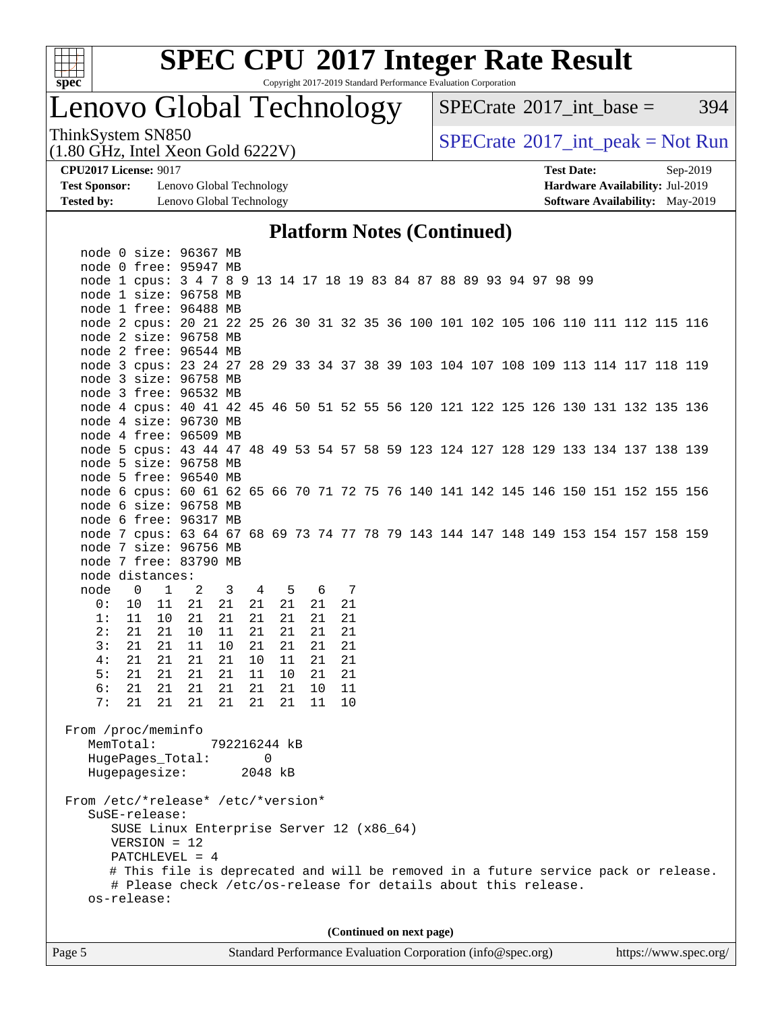

Copyright 2017-2019 Standard Performance Evaluation Corporation

## Lenovo Global Technology

 $SPECTate$ <sup>®</sup>[2017\\_int\\_base =](http://www.spec.org/auto/cpu2017/Docs/result-fields.html#SPECrate2017intbase) 394

(1.80 GHz, Intel Xeon Gold 6222V)

ThinkSystem SN850<br>(1.80 GHz, Intel Xeon Gold 6222V) [SPECrate](http://www.spec.org/auto/cpu2017/Docs/result-fields.html#SPECrate2017intpeak)®[2017\\_int\\_peak = N](http://www.spec.org/auto/cpu2017/Docs/result-fields.html#SPECrate2017intpeak)ot Run

**[Test Sponsor:](http://www.spec.org/auto/cpu2017/Docs/result-fields.html#TestSponsor)** Lenovo Global Technology **[Hardware Availability:](http://www.spec.org/auto/cpu2017/Docs/result-fields.html#HardwareAvailability)** Jul-2019 **[Tested by:](http://www.spec.org/auto/cpu2017/Docs/result-fields.html#Testedby)** Lenovo Global Technology **[Software Availability:](http://www.spec.org/auto/cpu2017/Docs/result-fields.html#SoftwareAvailability)** May-2019

**[CPU2017 License:](http://www.spec.org/auto/cpu2017/Docs/result-fields.html#CPU2017License)** 9017 **[Test Date:](http://www.spec.org/auto/cpu2017/Docs/result-fields.html#TestDate)** Sep-2019

#### **[Platform Notes \(Continued\)](http://www.spec.org/auto/cpu2017/Docs/result-fields.html#PlatformNotes)**

|                                    | node 0 size: 96367 MB                                                              |                |                         |         |        |     |    |  |                          |  |  |  |  |  |
|------------------------------------|------------------------------------------------------------------------------------|----------------|-------------------------|---------|--------|-----|----|--|--------------------------|--|--|--|--|--|
|                                    | node 0 free: 95947 MB                                                              |                |                         |         |        |     |    |  |                          |  |  |  |  |  |
|                                    | node 1 cpus: 3 4 7 8 9 13 14 17 18 19 83 84 87 88 89 93 94 97 98 99                |                |                         |         |        |     |    |  |                          |  |  |  |  |  |
|                                    | node 1 size: 96758 MB                                                              |                |                         |         |        |     |    |  |                          |  |  |  |  |  |
|                                    | node 1 free: 96488 MB                                                              |                |                         |         |        |     |    |  |                          |  |  |  |  |  |
|                                    | node 2 cpus: 20 21 22 25 26 30 31 32 35 36 100 101 102 105 106 110 111 112 115 116 |                |                         |         |        |     |    |  |                          |  |  |  |  |  |
|                                    | node 2 size: 96758 MB                                                              |                |                         |         |        |     |    |  |                          |  |  |  |  |  |
|                                    | node 2 free: 96544 MB                                                              |                |                         |         |        |     |    |  |                          |  |  |  |  |  |
|                                    | node 3 cpus: 23 24 27 28 29 33 34 37 38 39 103 104 107 108 109 113 114 117 118 119 |                |                         |         |        |     |    |  |                          |  |  |  |  |  |
|                                    | node 3 size: 96758 MB                                                              |                |                         |         |        |     |    |  |                          |  |  |  |  |  |
|                                    | node 3 free: 96532 MB                                                              |                |                         |         |        |     |    |  |                          |  |  |  |  |  |
|                                    | node 4 cpus: 40 41 42 45 46 50 51 52 55 56 120 121 122 125 126 130 131 132 135 136 |                |                         |         |        |     |    |  |                          |  |  |  |  |  |
|                                    | node 4 size: 96730 MB                                                              |                |                         |         |        |     |    |  |                          |  |  |  |  |  |
|                                    | node 4 free: 96509 MB                                                              |                |                         |         |        |     |    |  |                          |  |  |  |  |  |
|                                    | node 5 cpus: 43 44 47 48 49 53 54 57 58 59 123 124 127 128 129 133 134 137 138 139 |                |                         |         |        |     |    |  |                          |  |  |  |  |  |
|                                    | node 5 size: 96758 MB                                                              |                |                         |         |        |     |    |  |                          |  |  |  |  |  |
|                                    | node 5 free: 96540 MB                                                              |                |                         |         |        |     |    |  |                          |  |  |  |  |  |
|                                    | node 6 cpus: 60 61 62 65 66 70 71 72 75 76 140 141 142 145 146 150 151 152 155 156 |                |                         |         |        |     |    |  |                          |  |  |  |  |  |
|                                    | node 6 size: 96758 MB                                                              |                |                         |         |        |     |    |  |                          |  |  |  |  |  |
|                                    | node 6 free: 96317 MB                                                              |                |                         |         |        |     |    |  |                          |  |  |  |  |  |
|                                    | node 7 cpus: 63 64 67 68 69 73 74 77 78 79 143 144 147 148 149 153 154 157 158 159 |                |                         |         |        |     |    |  |                          |  |  |  |  |  |
|                                    | node 7 size: 96756 MB                                                              |                |                         |         |        |     |    |  |                          |  |  |  |  |  |
|                                    | node 7 free: 83790 MB                                                              |                |                         |         |        |     |    |  |                          |  |  |  |  |  |
|                                    | node distances:                                                                    |                |                         |         |        |     |    |  |                          |  |  |  |  |  |
|                                    | node 0 1                                                                           | $\overline{2}$ | $\overline{\mathbf{3}}$ |         | 4 5    | 6 7 |    |  |                          |  |  |  |  |  |
| 0:                                 | 10<br>11                                                                           | 21             | 21                      |         | 21  21 | 21  | 21 |  |                          |  |  |  |  |  |
| 1:                                 | 11<br>10                                                                           | 21             | 21                      | 21      | 21     | 21  | 21 |  |                          |  |  |  |  |  |
| 2:                                 | 21<br>21                                                                           | 10             | 11                      | 21      | -21    | 21  | 21 |  |                          |  |  |  |  |  |
| 3:                                 | 21 21                                                                              | 11             | 10                      | 21      | 21     | 21  | 21 |  |                          |  |  |  |  |  |
| 4:                                 | 21 21                                                                              | 21             | 21                      | 10      | 11     | 21  | 21 |  |                          |  |  |  |  |  |
| 5:                                 | 21 21                                                                              | 21             | 21                      | 11      | 10     | 21  | 21 |  |                          |  |  |  |  |  |
| 6:                                 | 21 21                                                                              | 21             | 21                      | 21      | 21     | 10  | 11 |  |                          |  |  |  |  |  |
| 7:                                 | 21<br>21                                                                           | 21             | 21                      |         | 21 21  | 11  | 10 |  |                          |  |  |  |  |  |
|                                    |                                                                                    |                |                         |         |        |     |    |  |                          |  |  |  |  |  |
| From /proc/meminfo                 |                                                                                    |                |                         |         |        |     |    |  |                          |  |  |  |  |  |
| MemTotal:                          |                                                                                    |                | 792216244 kB            |         |        |     |    |  |                          |  |  |  |  |  |
|                                    | HugePages_Total:                                                                   |                |                         |         | 0      |     |    |  |                          |  |  |  |  |  |
|                                    | Hugepagesize:                                                                      |                |                         | 2048 kB |        |     |    |  |                          |  |  |  |  |  |
|                                    |                                                                                    |                |                         |         |        |     |    |  |                          |  |  |  |  |  |
| From /etc/*release* /etc/*version* |                                                                                    |                |                         |         |        |     |    |  |                          |  |  |  |  |  |
|                                    | SuSE-release:                                                                      |                |                         |         |        |     |    |  |                          |  |  |  |  |  |
|                                    | SUSE Linux Enterprise Server 12 (x86_64)                                           |                |                         |         |        |     |    |  |                          |  |  |  |  |  |
|                                    | $VERSION = 12$                                                                     |                |                         |         |        |     |    |  |                          |  |  |  |  |  |
|                                    | PATCHLEVEL = $4$                                                                   |                |                         |         |        |     |    |  |                          |  |  |  |  |  |
|                                    | # This file is deprecated and will be removed in a future service pack or release. |                |                         |         |        |     |    |  |                          |  |  |  |  |  |
|                                    | # Please check /etc/os-release for details about this release.                     |                |                         |         |        |     |    |  |                          |  |  |  |  |  |
|                                    | os-release:                                                                        |                |                         |         |        |     |    |  |                          |  |  |  |  |  |
|                                    |                                                                                    |                |                         |         |        |     |    |  |                          |  |  |  |  |  |
|                                    |                                                                                    |                |                         |         |        |     |    |  | (Continued on next page) |  |  |  |  |  |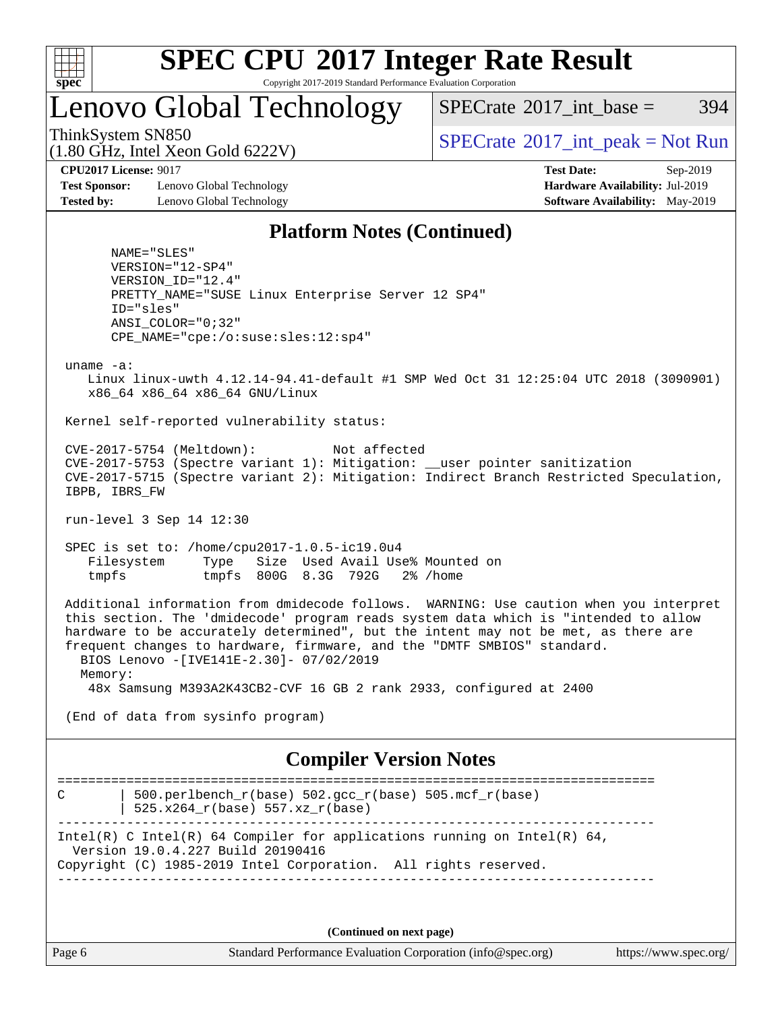

Copyright 2017-2019 Standard Performance Evaluation Corporation

Lenovo Global Technology

 $SPECTate^{\circ}2017$  int base = 394

(1.80 GHz, Intel Xeon Gold 6222V)

ThinkSystem SN850<br>  $\begin{array}{c}\n\text{SPECrate} \textcirc 2017\_int\_peak = Not Run \\
\text{SPECrate} \textcirc 2017\_int\_peak = Not Run\n\end{array}$  $\begin{array}{c}\n\text{SPECrate} \textcirc 2017\_int\_peak = Not Run \\
\text{SPECrate} \textcirc 2017\_int\_peak = Not Run\n\end{array}$  $\begin{array}{c}\n\text{SPECrate} \textcirc 2017\_int\_peak = Not Run \\
\text{SPECrate} \textcirc 2017\_int\_peak = Not Run\n\end{array}$ 

**[Test Sponsor:](http://www.spec.org/auto/cpu2017/Docs/result-fields.html#TestSponsor)** Lenovo Global Technology **[Hardware Availability:](http://www.spec.org/auto/cpu2017/Docs/result-fields.html#HardwareAvailability)** Jul-2019 **[Tested by:](http://www.spec.org/auto/cpu2017/Docs/result-fields.html#Testedby)** Lenovo Global Technology **[Software Availability:](http://www.spec.org/auto/cpu2017/Docs/result-fields.html#SoftwareAvailability)** May-2019

**[CPU2017 License:](http://www.spec.org/auto/cpu2017/Docs/result-fields.html#CPU2017License)** 9017 **[Test Date:](http://www.spec.org/auto/cpu2017/Docs/result-fields.html#TestDate)** Sep-2019

#### **[Platform Notes \(Continued\)](http://www.spec.org/auto/cpu2017/Docs/result-fields.html#PlatformNotes)**

 NAME="SLES" VERSION="12-SP4" VERSION\_ID="12.4" PRETTY\_NAME="SUSE Linux Enterprise Server 12 SP4" ID="sles" ANSI\_COLOR="0;32" CPE\_NAME="cpe:/o:suse:sles:12:sp4"

uname -a:

 Linux linux-uwth 4.12.14-94.41-default #1 SMP Wed Oct 31 12:25:04 UTC 2018 (3090901) x86\_64 x86\_64 x86\_64 GNU/Linux

Kernel self-reported vulnerability status:

 CVE-2017-5754 (Meltdown): Not affected CVE-2017-5753 (Spectre variant 1): Mitigation: \_\_user pointer sanitization CVE-2017-5715 (Spectre variant 2): Mitigation: Indirect Branch Restricted Speculation, IBPB, IBRS\_FW

run-level 3 Sep 14 12:30

 SPEC is set to: /home/cpu2017-1.0.5-ic19.0u4 Filesystem Type Size Used Avail Use% Mounted on tmpfs tmpfs 800G 8.3G 792G 2% /home

 Additional information from dmidecode follows. WARNING: Use caution when you interpret this section. The 'dmidecode' program reads system data which is "intended to allow hardware to be accurately determined", but the intent may not be met, as there are frequent changes to hardware, firmware, and the "DMTF SMBIOS" standard. BIOS Lenovo -[IVE141E-2.30]- 07/02/2019 Memory:

48x Samsung M393A2K43CB2-CVF 16 GB 2 rank 2933, configured at 2400

(End of data from sysinfo program)

#### **[Compiler Version Notes](http://www.spec.org/auto/cpu2017/Docs/result-fields.html#CompilerVersionNotes)**

============================================================================== C  $\vert$  500.perlbench\_r(base) 502.gcc\_r(base) 505.mcf\_r(base) | 525.x264\_r(base) 557.xz\_r(base) ------------------------------------------------------------------------------ Intel(R) C Intel(R) 64 Compiler for applications running on Intel(R)  $64$ , Version 19.0.4.227 Build 20190416 Copyright (C) 1985-2019 Intel Corporation. All rights reserved. ------------------------------------------------------------------------------

**(Continued on next page)**

Page 6 Standard Performance Evaluation Corporation [\(info@spec.org\)](mailto:info@spec.org) <https://www.spec.org/>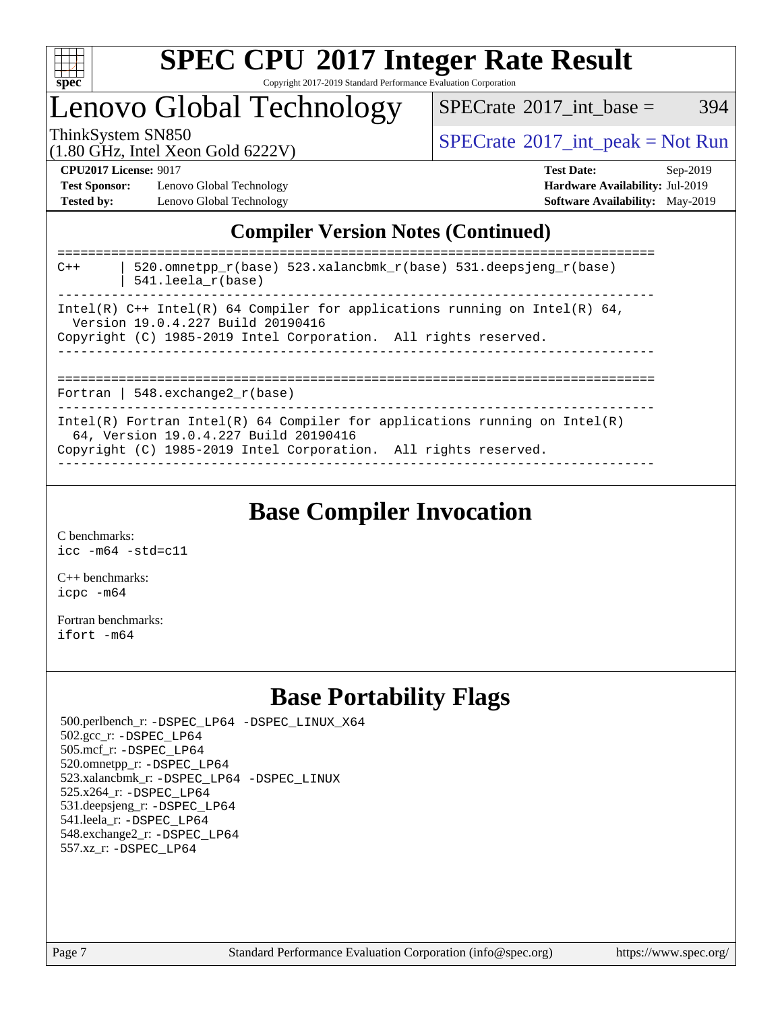

Copyright 2017-2019 Standard Performance Evaluation Corporation

Lenovo Global Technology

 $SPECTate@2017\_int\_base = 394$ 

(1.80 GHz, Intel Xeon Gold 6222V)

ThinkSystem SN850<br>(1.80 GHz, Intel Year Gold 6222V) [SPECrate](http://www.spec.org/auto/cpu2017/Docs/result-fields.html#SPECrate2017intpeak)®[2017\\_int\\_peak = N](http://www.spec.org/auto/cpu2017/Docs/result-fields.html#SPECrate2017intpeak)ot Run

**[Test Sponsor:](http://www.spec.org/auto/cpu2017/Docs/result-fields.html#TestSponsor)** Lenovo Global Technology **[Hardware Availability:](http://www.spec.org/auto/cpu2017/Docs/result-fields.html#HardwareAvailability)** Jul-2019 **[Tested by:](http://www.spec.org/auto/cpu2017/Docs/result-fields.html#Testedby)** Lenovo Global Technology **[Software Availability:](http://www.spec.org/auto/cpu2017/Docs/result-fields.html#SoftwareAvailability)** May-2019

**[CPU2017 License:](http://www.spec.org/auto/cpu2017/Docs/result-fields.html#CPU2017License)** 9017 **[Test Date:](http://www.spec.org/auto/cpu2017/Docs/result-fields.html#TestDate)** Sep-2019

### **[Compiler Version Notes \(Continued\)](http://www.spec.org/auto/cpu2017/Docs/result-fields.html#CompilerVersionNotes)**

| 520.omnetpp $r(base)$ 523.xalancbmk $r(base)$ 531.deepsjeng $r(base)$<br>$C++$<br>$541.$ leela r(base)<br>--------------------------                                                   |
|----------------------------------------------------------------------------------------------------------------------------------------------------------------------------------------|
| Intel(R) $C++$ Intel(R) 64 Compiler for applications running on Intel(R) 64,<br>Version 19.0.4.227 Build 20190416<br>Copyright (C) 1985-2019 Intel Corporation. All rights reserved.   |
| Fortran   548.exchange2 $r(base)$                                                                                                                                                      |
| Intel(R) Fortran Intel(R) 64 Compiler for applications running on Intel(R)<br>64, Version 19.0.4.227 Build 20190416<br>Copyright (C) 1985-2019 Intel Corporation. All rights reserved. |

**[Base Compiler Invocation](http://www.spec.org/auto/cpu2017/Docs/result-fields.html#BaseCompilerInvocation)**

[C benchmarks](http://www.spec.org/auto/cpu2017/Docs/result-fields.html#Cbenchmarks): [icc -m64 -std=c11](http://www.spec.org/cpu2017/results/res2019q4/cpu2017-20190917-18305.flags.html#user_CCbase_intel_icc_64bit_c11_33ee0cdaae7deeeab2a9725423ba97205ce30f63b9926c2519791662299b76a0318f32ddfffdc46587804de3178b4f9328c46fa7c2b0cd779d7a61945c91cd35)

[C++ benchmarks:](http://www.spec.org/auto/cpu2017/Docs/result-fields.html#CXXbenchmarks) [icpc -m64](http://www.spec.org/cpu2017/results/res2019q4/cpu2017-20190917-18305.flags.html#user_CXXbase_intel_icpc_64bit_4ecb2543ae3f1412ef961e0650ca070fec7b7afdcd6ed48761b84423119d1bf6bdf5cad15b44d48e7256388bc77273b966e5eb805aefd121eb22e9299b2ec9d9)

[Fortran benchmarks](http://www.spec.org/auto/cpu2017/Docs/result-fields.html#Fortranbenchmarks): [ifort -m64](http://www.spec.org/cpu2017/results/res2019q4/cpu2017-20190917-18305.flags.html#user_FCbase_intel_ifort_64bit_24f2bb282fbaeffd6157abe4f878425411749daecae9a33200eee2bee2fe76f3b89351d69a8130dd5949958ce389cf37ff59a95e7a40d588e8d3a57e0c3fd751)

### **[Base Portability Flags](http://www.spec.org/auto/cpu2017/Docs/result-fields.html#BasePortabilityFlags)**

 500.perlbench\_r: [-DSPEC\\_LP64](http://www.spec.org/cpu2017/results/res2019q4/cpu2017-20190917-18305.flags.html#b500.perlbench_r_basePORTABILITY_DSPEC_LP64) [-DSPEC\\_LINUX\\_X64](http://www.spec.org/cpu2017/results/res2019q4/cpu2017-20190917-18305.flags.html#b500.perlbench_r_baseCPORTABILITY_DSPEC_LINUX_X64) 502.gcc\_r: [-DSPEC\\_LP64](http://www.spec.org/cpu2017/results/res2019q4/cpu2017-20190917-18305.flags.html#suite_basePORTABILITY502_gcc_r_DSPEC_LP64) 505.mcf\_r: [-DSPEC\\_LP64](http://www.spec.org/cpu2017/results/res2019q4/cpu2017-20190917-18305.flags.html#suite_basePORTABILITY505_mcf_r_DSPEC_LP64) 520.omnetpp\_r: [-DSPEC\\_LP64](http://www.spec.org/cpu2017/results/res2019q4/cpu2017-20190917-18305.flags.html#suite_basePORTABILITY520_omnetpp_r_DSPEC_LP64) 523.xalancbmk\_r: [-DSPEC\\_LP64](http://www.spec.org/cpu2017/results/res2019q4/cpu2017-20190917-18305.flags.html#suite_basePORTABILITY523_xalancbmk_r_DSPEC_LP64) [-DSPEC\\_LINUX](http://www.spec.org/cpu2017/results/res2019q4/cpu2017-20190917-18305.flags.html#b523.xalancbmk_r_baseCXXPORTABILITY_DSPEC_LINUX) 525.x264\_r: [-DSPEC\\_LP64](http://www.spec.org/cpu2017/results/res2019q4/cpu2017-20190917-18305.flags.html#suite_basePORTABILITY525_x264_r_DSPEC_LP64) 531.deepsjeng\_r: [-DSPEC\\_LP64](http://www.spec.org/cpu2017/results/res2019q4/cpu2017-20190917-18305.flags.html#suite_basePORTABILITY531_deepsjeng_r_DSPEC_LP64) 541.leela\_r: [-DSPEC\\_LP64](http://www.spec.org/cpu2017/results/res2019q4/cpu2017-20190917-18305.flags.html#suite_basePORTABILITY541_leela_r_DSPEC_LP64) 548.exchange2\_r: [-DSPEC\\_LP64](http://www.spec.org/cpu2017/results/res2019q4/cpu2017-20190917-18305.flags.html#suite_basePORTABILITY548_exchange2_r_DSPEC_LP64) 557.xz\_r: [-DSPEC\\_LP64](http://www.spec.org/cpu2017/results/res2019q4/cpu2017-20190917-18305.flags.html#suite_basePORTABILITY557_xz_r_DSPEC_LP64)